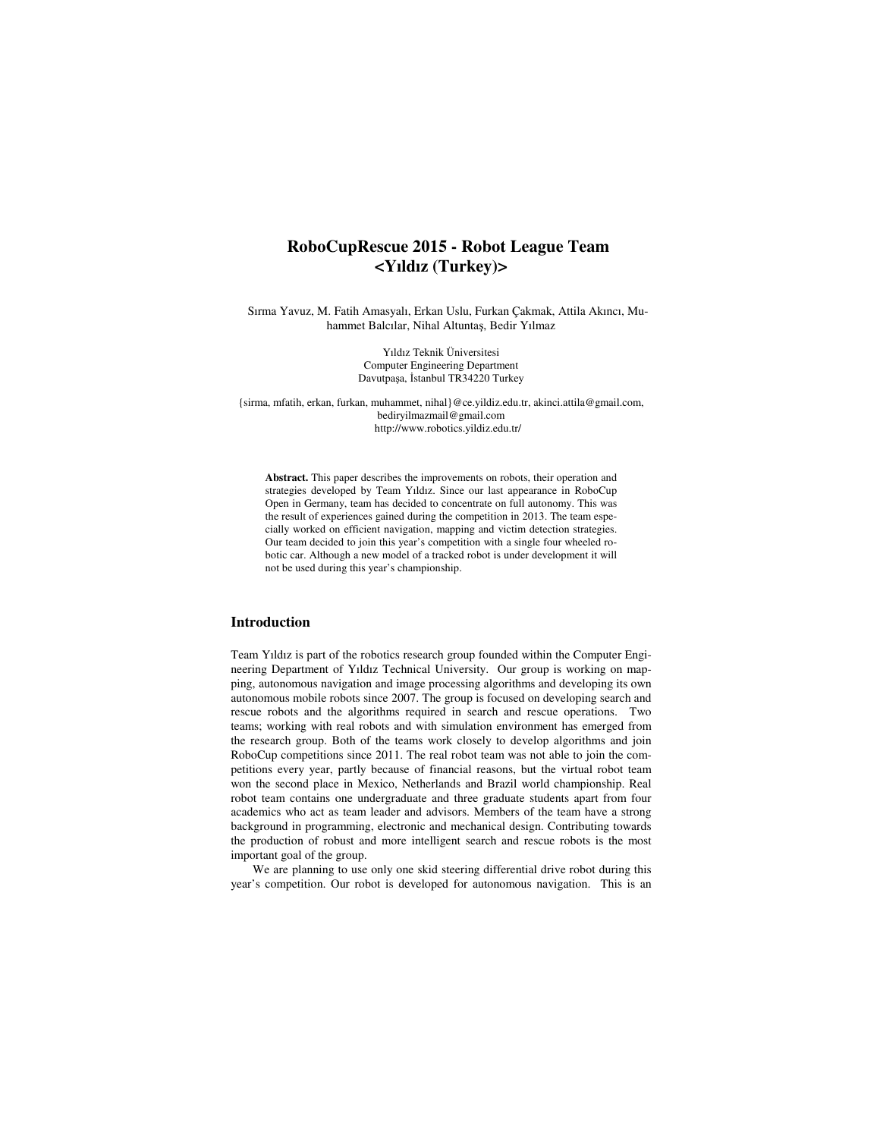# **RoboCupRescue 2015 - Robot League Team <Yıldız (Turkey)>**

Sırma Yavuz, M. Fatih Amasyalı, Erkan Uslu, Furkan Çakmak, Attila Akıncı, Muhammet Balcılar, Nihal Altuntaş, Bedir Yılmaz

> Yıldız Teknik Üniversitesi Computer Engineering Department Davutpaşa, İstanbul TR34220 Turkey

{sirma, mfatih, erkan, furkan, muhammet, nihal}@ce.yildiz.edu.tr, akinci.attila@gmail.com, bediryilmazmail@gmail.com http://www.robotics.yildiz.edu.tr/

**Abstract.** This paper describes the improvements on robots, their operation and strategies developed by Team Yıldız. Since our last appearance in RoboCup Open in Germany, team has decided to concentrate on full autonomy. This was the result of experiences gained during the competition in 2013. The team especially worked on efficient navigation, mapping and victim detection strategies. Our team decided to join this year's competition with a single four wheeled robotic car. Although a new model of a tracked robot is under development it will not be used during this year's championship.

### **Introduction**

Team Yıldız is part of the robotics research group founded within the Computer Engineering Department of Yıldız Technical University. Our group is working on mapping, autonomous navigation and image processing algorithms and developing its own autonomous mobile robots since 2007. The group is focused on developing search and rescue robots and the algorithms required in search and rescue operations. Two teams; working with real robots and with simulation environment has emerged from the research group. Both of the teams work closely to develop algorithms and join RoboCup competitions since 2011. The real robot team was not able to join the competitions every year, partly because of financial reasons, but the virtual robot team won the second place in Mexico, Netherlands and Brazil world championship. Real robot team contains one undergraduate and three graduate students apart from four academics who act as team leader and advisors. Members of the team have a strong background in programming, electronic and mechanical design. Contributing towards the production of robust and more intelligent search and rescue robots is the most important goal of the group.

We are planning to use only one skid steering differential drive robot during this year's competition. Our robot is developed for autonomous navigation. This is an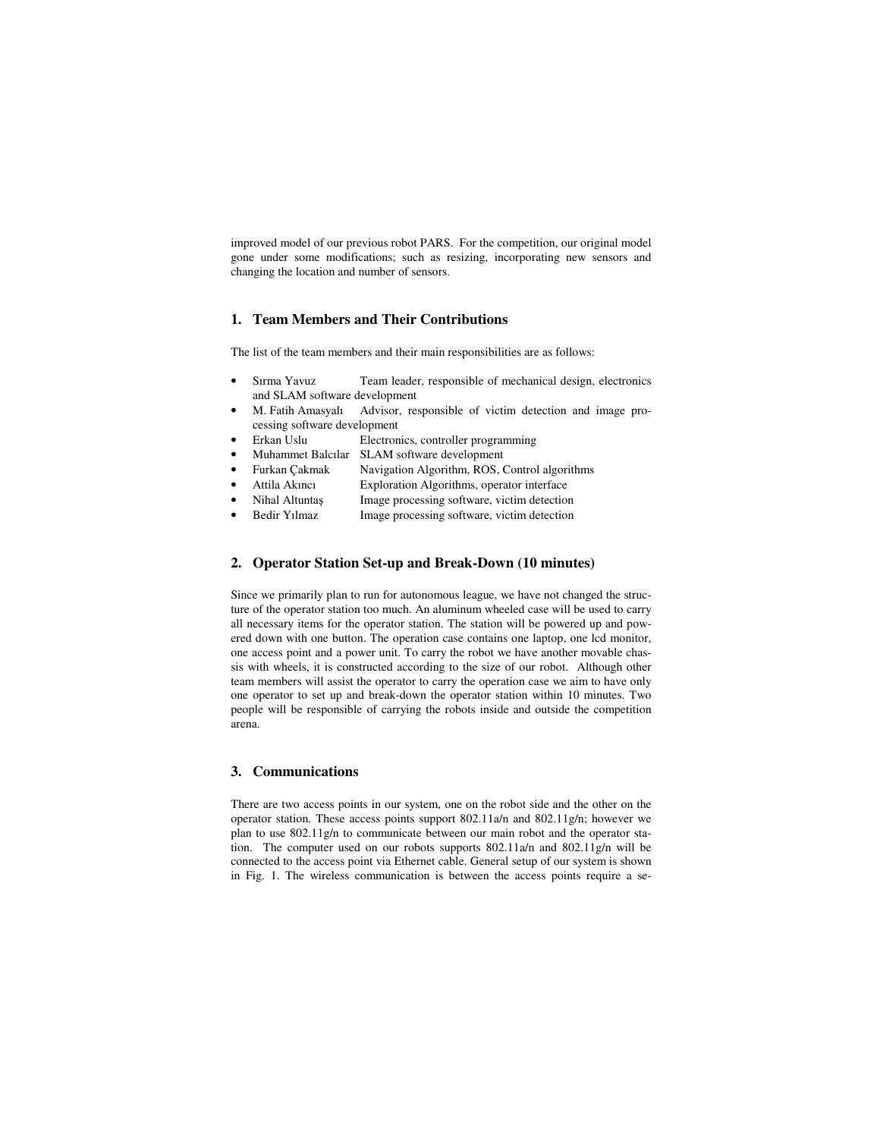improved model of our previous robot PARS. For the competition, our original model gone under some modifications; such as resizing, incorporating new sensors and changing the location and number of sensors.

### **1. Team Members and Their Contributions**

The list of the team members and their main responsibilities are as follows:

- Sırma Yavuz Team leader, responsible of mechanical design, electronics and SLAM software development
- M. Fatih Amasyalı Advisor, responsible of victim detection and image processing software development
- Erkan Uslu Electronics, controller programming
- Muhammet Balcılar SLAM software development
- Furkan Çakmak Navigation Algorithm, ROS, Control algorithms
- Attila Akıncı Exploration Algorithms, operator interface
- Nihal Altuntaş Image processing software, victim detection
- Bedir Yılmaz Image processing software, victim detection

### **2. Operator Station Set-up and Break-Down (10 minutes)**

Since we primarily plan to run for autonomous league, we have not changed the structure of the operator station too much. An aluminum wheeled case will be used to carry all necessary items for the operator station. The station will be powered up and powered down with one button. The operation case contains one laptop, one lcd monitor, one access point and a power unit. To carry the robot we have another movable chassis with wheels, it is constructed according to the size of our robot. Although other team members will assist the operator to carry the operation case we aim to have only one operator to set up and break-down the operator station within 10 minutes. Two people will be responsible of carrying the robots inside and outside the competition arena.

### **3. Communications**

There are two access points in our system, one on the robot side and the other on the operator station. These access points support 802.11a/n and 802.11g/n; however we plan to use 802.11g/n to communicate between our main robot and the operator station. The computer used on our robots supports 802.11a/n and 802.11g/n will be connected to the access point via Ethernet cable. General setup of our system is shown in Fig. 1. The wireless communication is between the access points require a se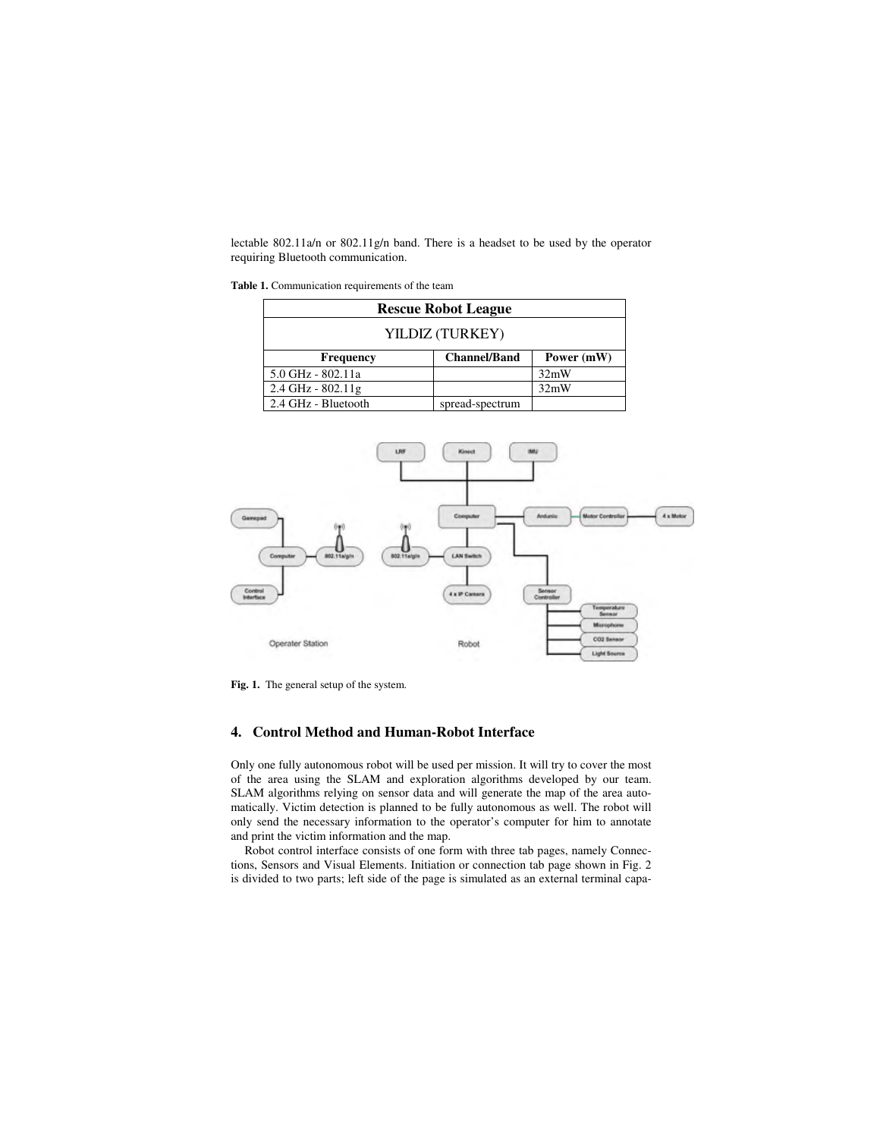lectable 802.11a/n or 802.11g/n band. There is a headset to be used by the operator requiring Bluetooth communication.

**Table 1.** Communication requirements of the team

| <b>Rescue Robot League</b> |                     |            |  |
|----------------------------|---------------------|------------|--|
| YILDIZ (TURKEY)            |                     |            |  |
| Frequency                  | <b>Channel/Band</b> | Power (mW) |  |
| 5.0 GHz - 802.11a          |                     | 32mW       |  |
| $2.4$ GHz - $802.11$ g     |                     | 32mW       |  |
| 2.4 GHz - Bluetooth        | spread-spectrum     |            |  |



**Fig. 1.** The general setup of the system.

### **4. Control Method and Human-Robot Interface**

Only one fully autonomous robot will be used per mission. It will try to cover the most of the area using the SLAM and exploration algorithms developed by our team. SLAM algorithms relying on sensor data and will generate the map of the area automatically. Victim detection is planned to be fully autonomous as well. The robot will only send the necessary information to the operator's computer for him to annotate and print the victim information and the map.

Robot control interface consists of one form with three tab pages, namely Connections, Sensors and Visual Elements. Initiation or connection tab page shown in Fig. 2 is divided to two parts; left side of the page is simulated as an external terminal capa-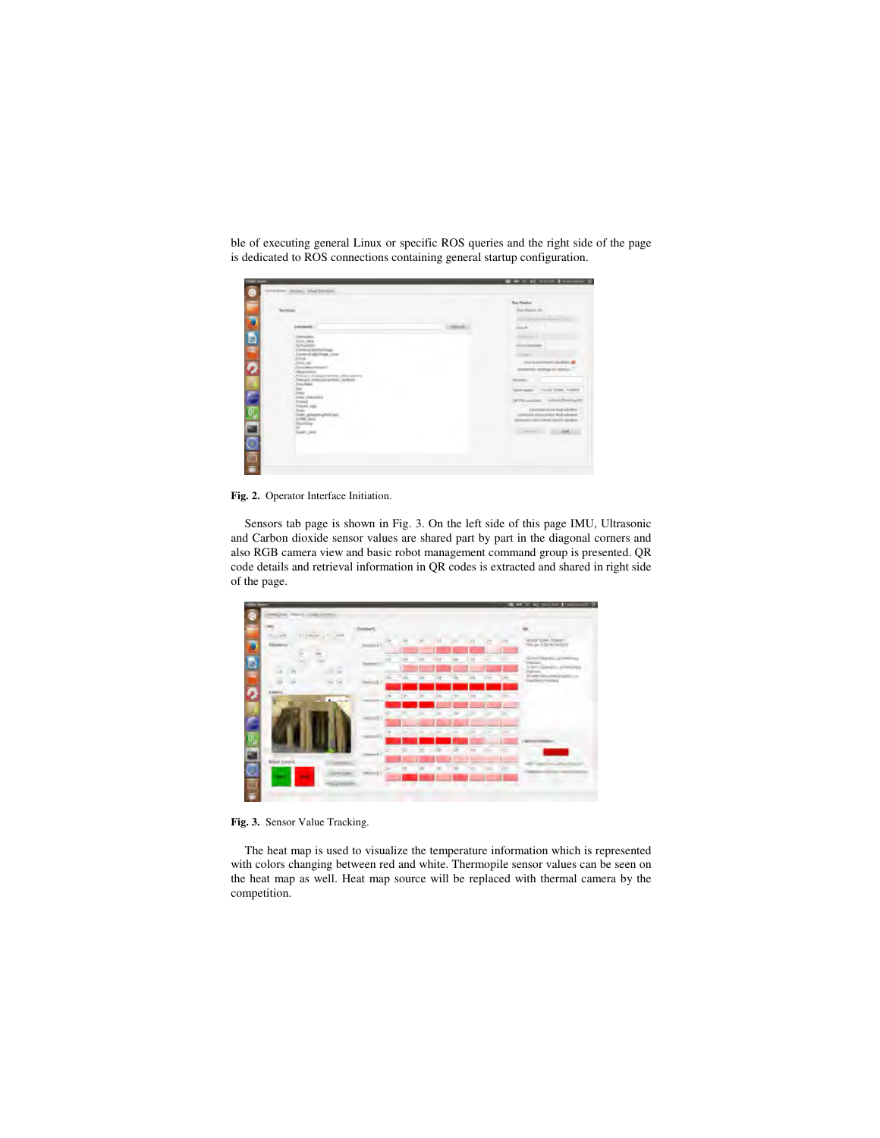|                                                                                           | <b>Red Masker</b>                                                 |
|-------------------------------------------------------------------------------------------|-------------------------------------------------------------------|
| <b>Territori</b>                                                                          | Mag Mason (St)                                                    |
| Glenmand, I                                                                               | --<br>ling (b)                                                    |
| <b>External last a</b>                                                                    |                                                                   |
| NYA NA<br><b>Fort series</b>                                                              | <b><i>Stra Forestand</i></b>                                      |
| h america (di procuramente)<br>Framme si refutivi magni como<br><b>Guide</b>              | <b>CONTRACT</b>                                                   |
| <b>FOR ALL AND</b><br><b>CONTRACTOR</b>                                                   | the interestimate and he at<br>storiantide semingeals manual (1)  |
| <b>Beginnifita</b><br>Parkays, Independence James World<br>Nekayi mids/peranetal, opdrois | <b>PERSONAL</b>                                                   |
| <b>International</b>                                                                      | bartchane / years likes funder                                    |
| mep metadela<br>mini                                                                      | OF THI LUXURER   INTOXIA/DARKSHATC                                |
| HAINE POST<br><b>Signs</b>                                                                | Generant suins must similine<br>Generale entry great BGE wholesal |
| <b>Carl: prices a britain</b><br>LITTLE GLOS<br><b>Uncluding</b>                          | Consents and a street Death attribue                              |
| <b>Saaki</b> Jaloi                                                                        | <b>COLLAPPOINT</b><br>Gold.                                       |
|                                                                                           |                                                                   |
|                                                                                           |                                                                   |

ble of executing general Linux or specific ROS queries and the right side of the page is dedicated to ROS connections containing general startup configuration.

**Fig. 2.** Operator Interface Initiation.

Sensors tab page is shown in Fig. 3. On the left side of this page IMU, Ultrasonic and Carbon dioxide sensor values are shared part by part in the diagonal corners and also RGB camera view and basic robot management command group is presented. QR code details and retrieval information in QR codes is extracted and shared in right side of the page.



**Fig. 3.** Sensor Value Tracking.

The heat map is used to visualize the temperature information which is represented with colors changing between red and white. Thermopile sensor values can be seen on the heat map as well. Heat map source will be replaced with thermal camera by the competition.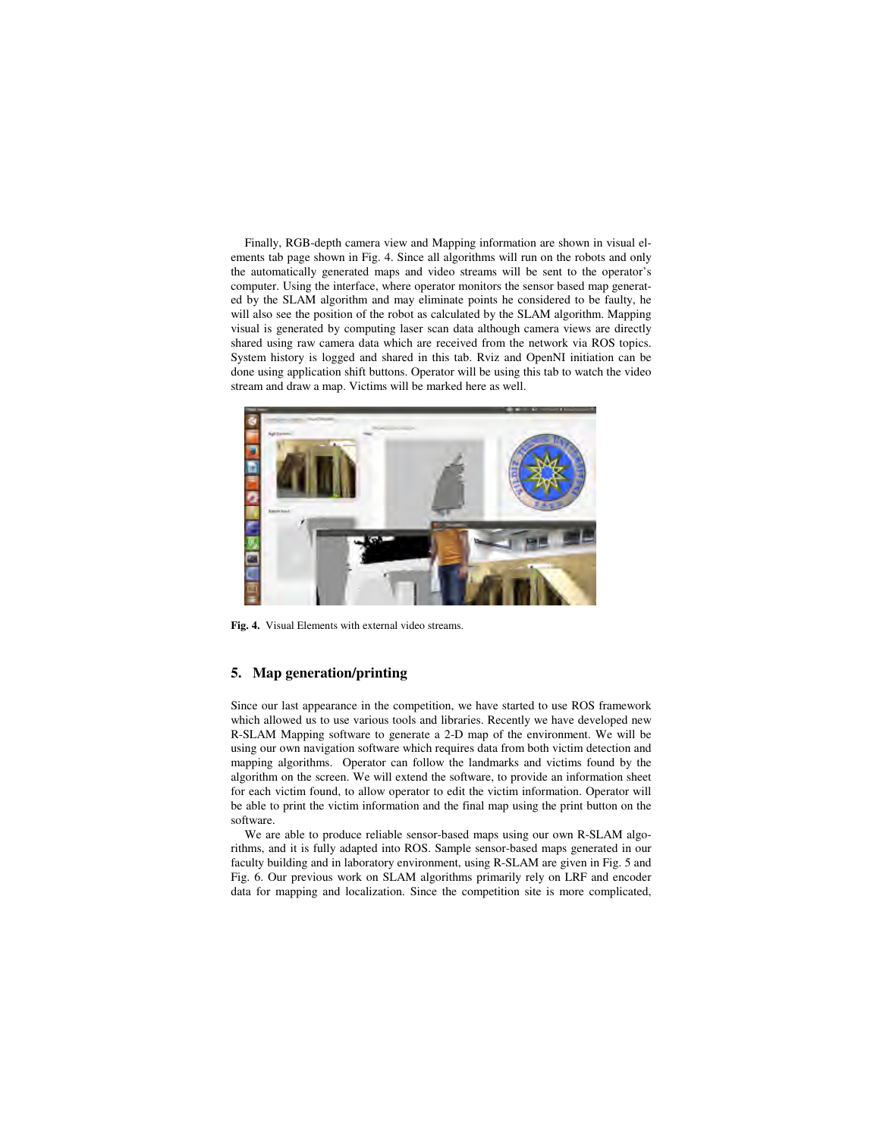Finally, RGB-depth camera view and Mapping information are shown in visual elements tab page shown in Fig. 4. Since all algorithms will run on the robots and only the automatically generated maps and video streams will be sent to the operator's computer. Using the interface, where operator monitors the sensor based map generated by the SLAM algorithm and may eliminate points he considered to be faulty, he will also see the position of the robot as calculated by the SLAM algorithm. Mapping visual is generated by computing laser scan data although camera views are directly shared using raw camera data which are received from the network via ROS topics. System history is logged and shared in this tab. Rviz and OpenNI initiation can be done using application shift buttons. Operator will be using this tab to watch the video stream and draw a map. Victims will be marked here as well.



**Fig. 4.** Visual Elements with external video streams.

### **5. Map generation/printing**

Since our last appearance in the competition, we have started to use ROS framework which allowed us to use various tools and libraries. Recently we have developed new R-SLAM Mapping software to generate a 2-D map of the environment. We will be using our own navigation software which requires data from both victim detection and mapping algorithms. Operator can follow the landmarks and victims found by the algorithm on the screen. We will extend the software, to provide an information sheet for each victim found, to allow operator to edit the victim information. Operator will be able to print the victim information and the final map using the print button on the software.

We are able to produce reliable sensor-based maps using our own R-SLAM algorithms, and it is fully adapted into ROS. Sample sensor-based maps generated in our faculty building and in laboratory environment, using R-SLAM are given in Fig. 5 and Fig. 6. Our previous work on SLAM algorithms primarily rely on LRF and encoder data for mapping and localization. Since the competition site is more complicated,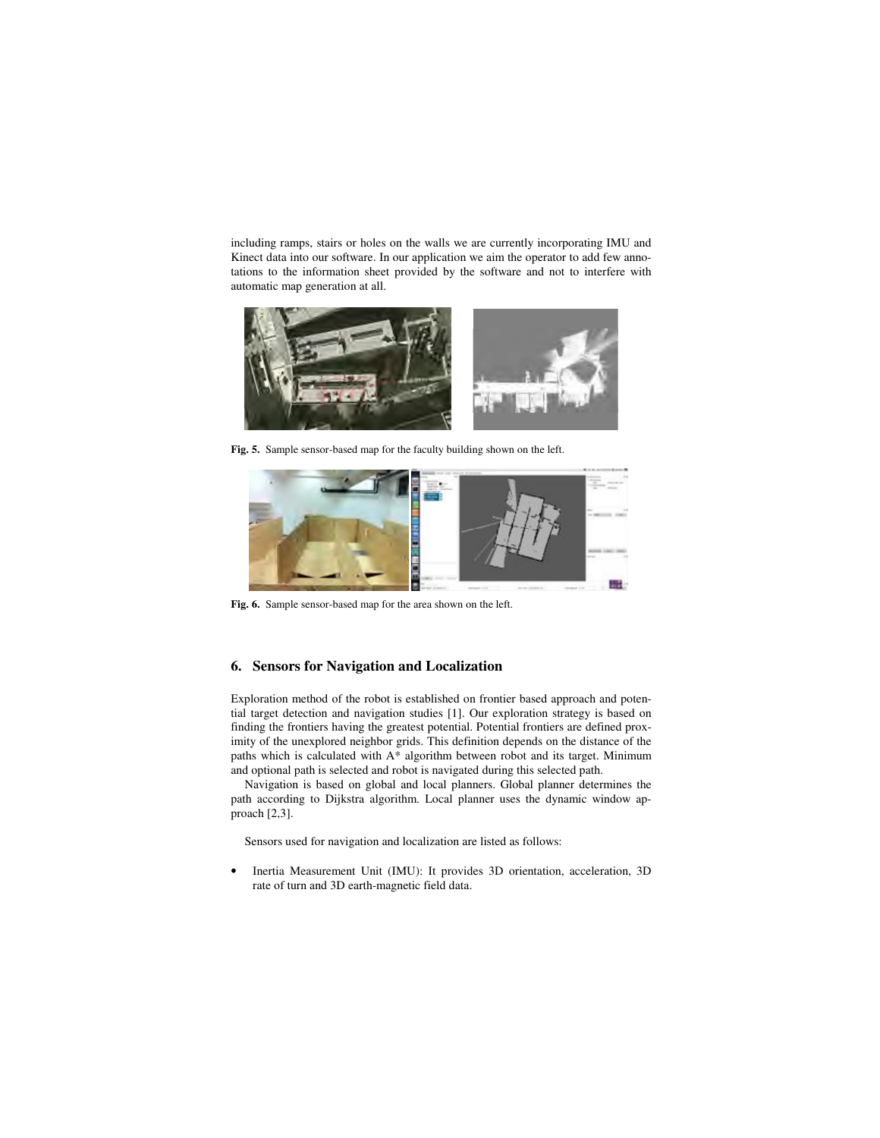including ramps, stairs or holes on the walls we are currently incorporating IMU and Kinect data into our software. In our application we aim the operator to add few annotations to the information sheet provided by the software and not to interfere with automatic map generation at all.



**Fig. 5.** Sample sensor-based map for the faculty building shown on the left.



**Fig. 6.** Sample sensor-based map for the area shown on the left.

### **6. Sensors for Navigation and Localization**

Exploration method of the robot is established on frontier based approach and potential target detection and navigation studies [1]. Our exploration strategy is based on finding the frontiers having the greatest potential. Potential frontiers are defined proximity of the unexplored neighbor grids. This definition depends on the distance of the paths which is calculated with A\* algorithm between robot and its target. Minimum and optional path is selected and robot is navigated during this selected path.

Navigation is based on global and local planners. Global planner determines the path according to Dijkstra algorithm. Local planner uses the dynamic window approach [2,3].

Sensors used for navigation and localization are listed as follows:

• Inertia Measurement Unit (IMU): It provides 3D orientation, acceleration, 3D rate of turn and 3D earth-magnetic field data.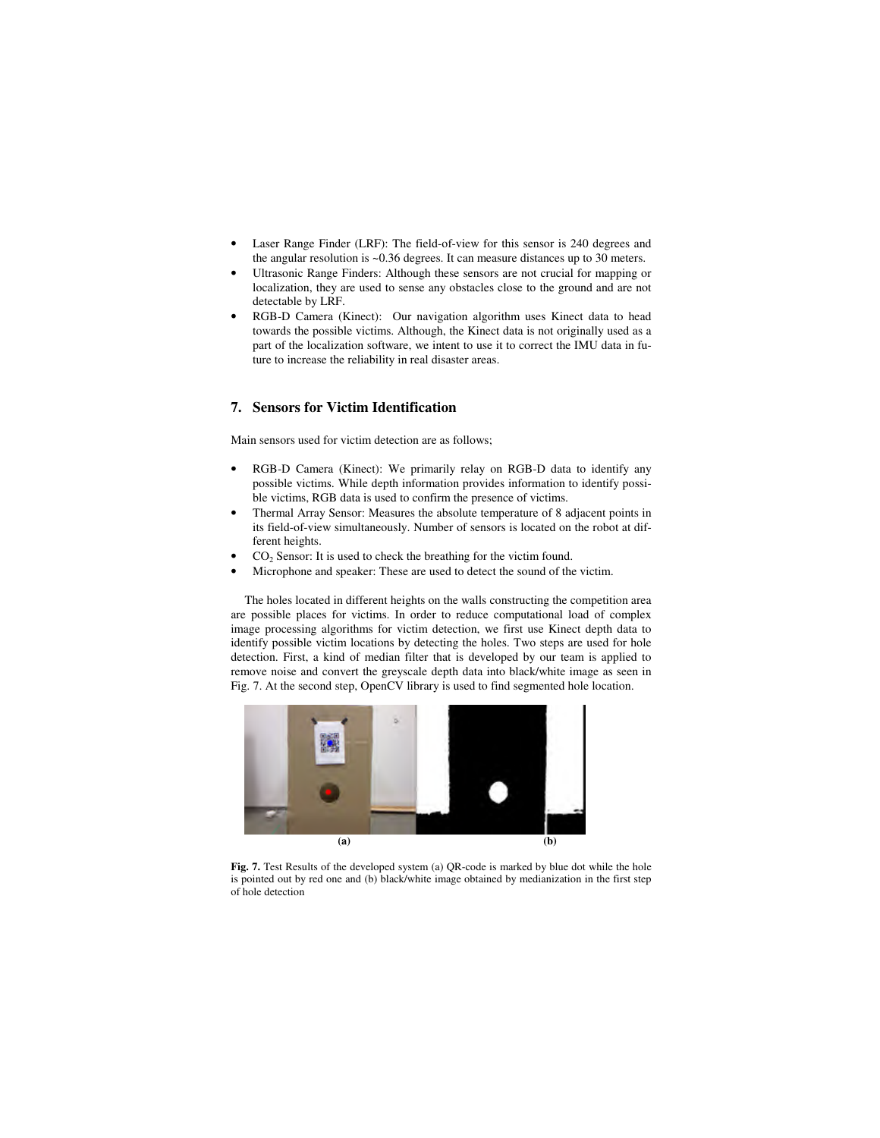- Laser Range Finder (LRF): The field-of-view for this sensor is 240 degrees and the angular resolution is ~0.36 degrees. It can measure distances up to 30 meters.
- Ultrasonic Range Finders: Although these sensors are not crucial for mapping or localization, they are used to sense any obstacles close to the ground and are not detectable by LRF.
- RGB-D Camera (Kinect): Our navigation algorithm uses Kinect data to head towards the possible victims. Although, the Kinect data is not originally used as a part of the localization software, we intent to use it to correct the IMU data in future to increase the reliability in real disaster areas.

## **7. Sensors for Victim Identification**

Main sensors used for victim detection are as follows;

- RGB-D Camera (Kinect): We primarily relay on RGB-D data to identify any possible victims. While depth information provides information to identify possible victims, RGB data is used to confirm the presence of victims.
- Thermal Array Sensor: Measures the absolute temperature of 8 adjacent points in its field-of-view simultaneously. Number of sensors is located on the robot at different heights.
- $CO<sub>2</sub>$  Sensor: It is used to check the breathing for the victim found.
- Microphone and speaker: These are used to detect the sound of the victim.

The holes located in different heights on the walls constructing the competition area are possible places for victims. In order to reduce computational load of complex image processing algorithms for victim detection, we first use Kinect depth data to identify possible victim locations by detecting the holes. Two steps are used for hole detection. First, a kind of median filter that is developed by our team is applied to remove noise and convert the greyscale depth data into black/white image as seen in Fig. 7. At the second step, OpenCV library is used to find segmented hole location.



Fig. 7. Test Results of the developed system (a) QR-code is marked by blue dot while the hole is pointed out by red one and (b) black/white image obtained by medianization in the first step of hole detection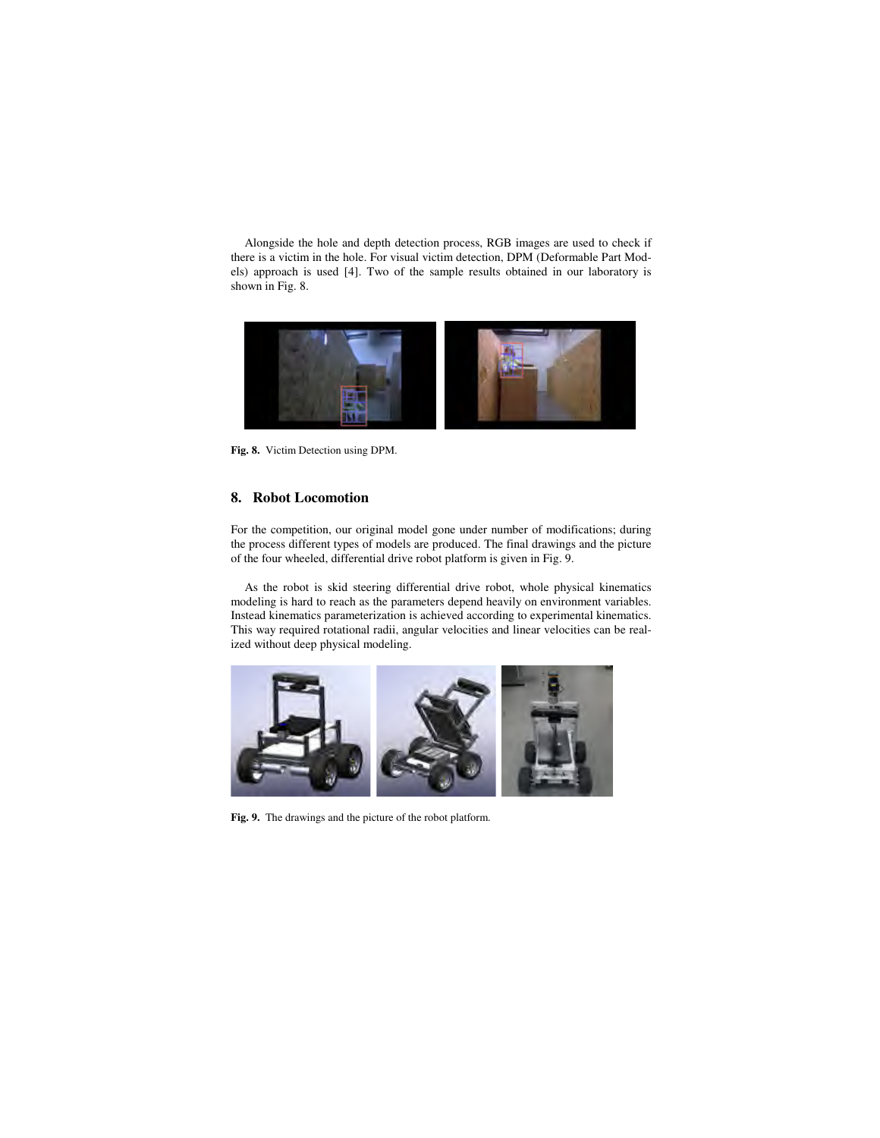Alongside the hole and depth detection process, RGB images are used to check if there is a victim in the hole. For visual victim detection, DPM (Deformable Part Models) approach is used [4]. Two of the sample results obtained in our laboratory is shown in Fig. 8.



**Fig. 8.** Victim Detection using DPM.

### **8. Robot Locomotion**

For the competition, our original model gone under number of modifications; during the process different types of models are produced. The final drawings and the picture of the four wheeled, differential drive robot platform is given in Fig. 9.

As the robot is skid steering differential drive robot, whole physical kinematics modeling is hard to reach as the parameters depend heavily on environment variables. Instead kinematics parameterization is achieved according to experimental kinematics. This way required rotational radii, angular velocities and linear velocities can be realized without deep physical modeling.



**Fig. 9.** The drawings and the picture of the robot platform.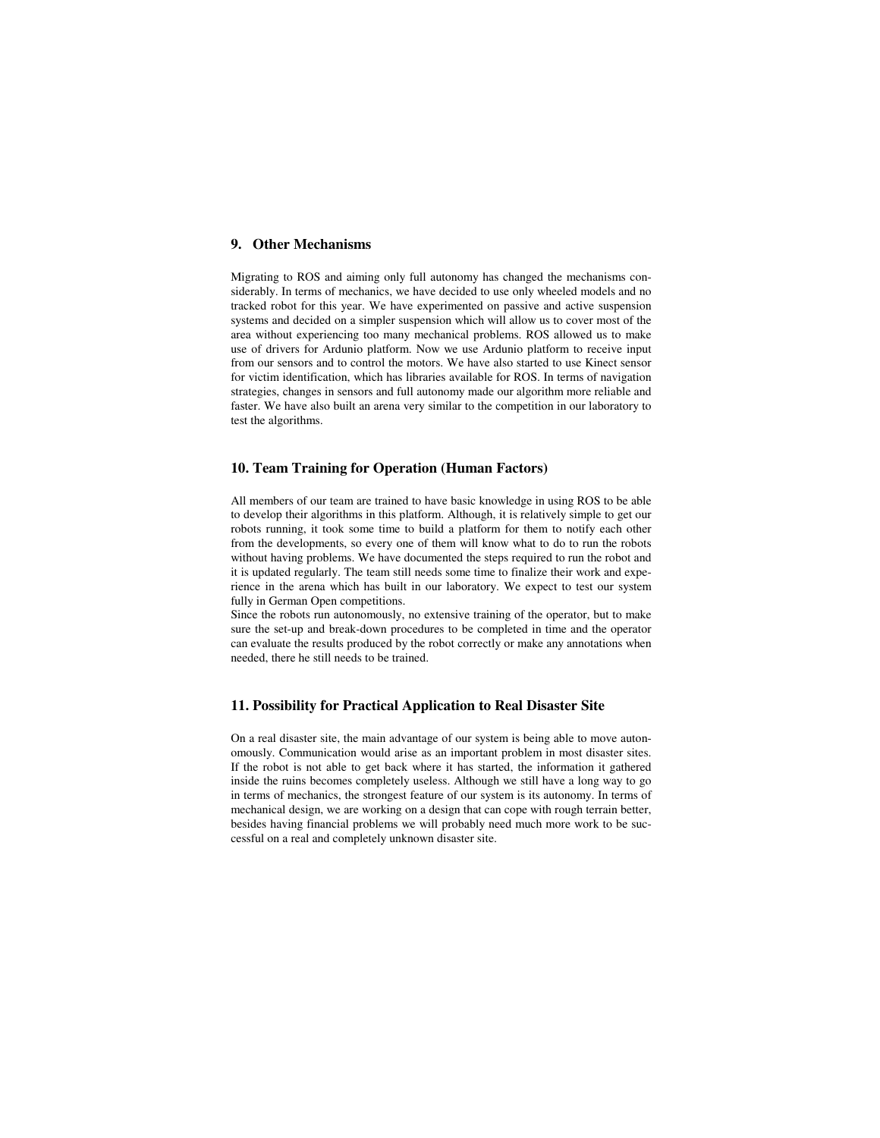## **9. Other Mechanisms**

Migrating to ROS and aiming only full autonomy has changed the mechanisms considerably. In terms of mechanics, we have decided to use only wheeled models and no tracked robot for this year. We have experimented on passive and active suspension systems and decided on a simpler suspension which will allow us to cover most of the area without experiencing too many mechanical problems. ROS allowed us to make use of drivers for Ardunio platform. Now we use Ardunio platform to receive input from our sensors and to control the motors. We have also started to use Kinect sensor for victim identification, which has libraries available for ROS. In terms of navigation strategies, changes in sensors and full autonomy made our algorithm more reliable and faster. We have also built an arena very similar to the competition in our laboratory to test the algorithms.

### **10. Team Training for Operation (Human Factors)**

All members of our team are trained to have basic knowledge in using ROS to be able to develop their algorithms in this platform. Although, it is relatively simple to get our robots running, it took some time to build a platform for them to notify each other from the developments, so every one of them will know what to do to run the robots without having problems. We have documented the steps required to run the robot and it is updated regularly. The team still needs some time to finalize their work and experience in the arena which has built in our laboratory. We expect to test our system fully in German Open competitions.

Since the robots run autonomously, no extensive training of the operator, but to make sure the set-up and break-down procedures to be completed in time and the operator can evaluate the results produced by the robot correctly or make any annotations when needed, there he still needs to be trained.

### **11. Possibility for Practical Application to Real Disaster Site**

On a real disaster site, the main advantage of our system is being able to move autonomously. Communication would arise as an important problem in most disaster sites. If the robot is not able to get back where it has started, the information it gathered inside the ruins becomes completely useless. Although we still have a long way to go in terms of mechanics, the strongest feature of our system is its autonomy. In terms of mechanical design, we are working on a design that can cope with rough terrain better, besides having financial problems we will probably need much more work to be successful on a real and completely unknown disaster site.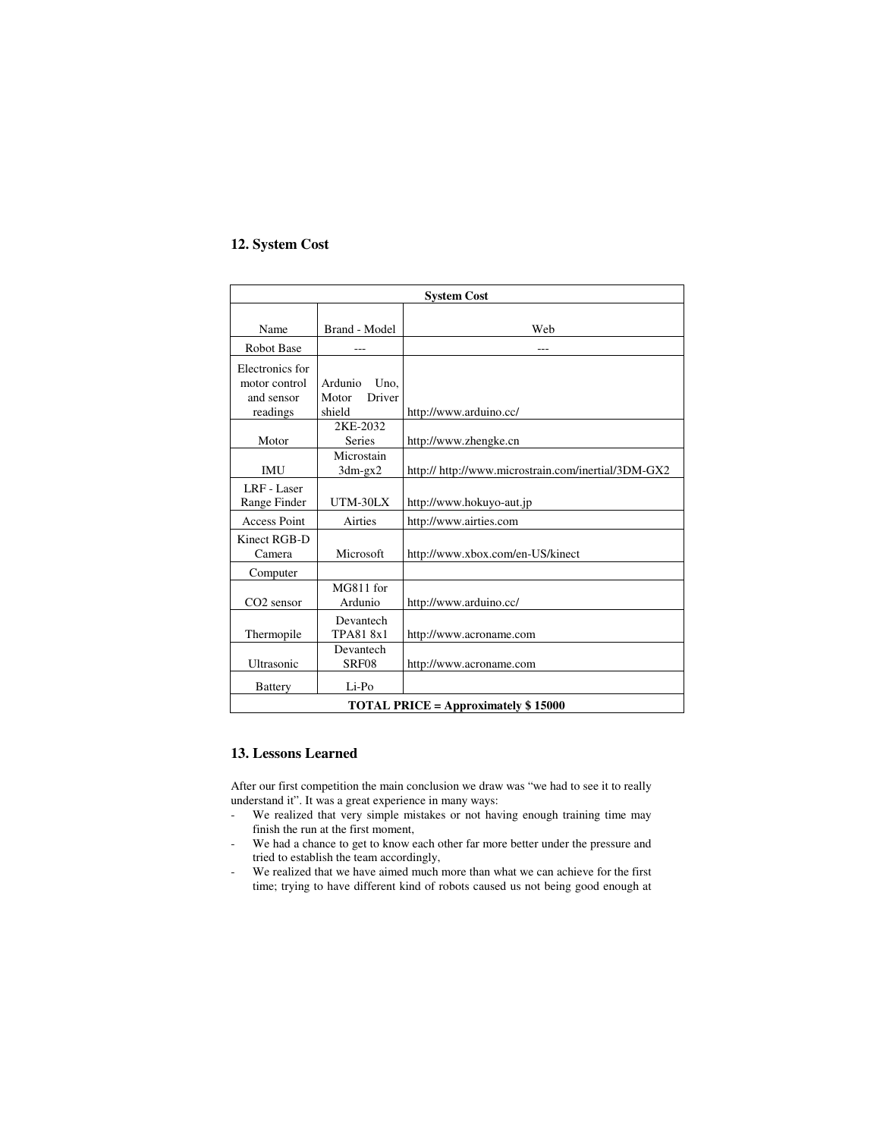## **12. System Cost**

| <b>System Cost</b>                         |                 |                                                     |  |
|--------------------------------------------|-----------------|-----------------------------------------------------|--|
|                                            |                 |                                                     |  |
| Name                                       | Brand - Model   | Web                                                 |  |
| <b>Robot Base</b>                          |                 | ---                                                 |  |
| Electronics for                            |                 |                                                     |  |
| motor control                              | Ardunio Uno.    |                                                     |  |
| and sensor                                 | Driver<br>Motor |                                                     |  |
| readings                                   | shield          | http://www.arduino.cc/                              |  |
|                                            | 2KE-2032        |                                                     |  |
| Motor                                      | Series          | http://www.zhengke.cn                               |  |
|                                            | Microstain      |                                                     |  |
| <b>IMU</b>                                 | $3dm-gx2$       | http:// http://www.microstrain.com/inertial/3DM-GX2 |  |
| LRF - Laser                                |                 |                                                     |  |
| Range Finder                               | UTM-30LX        | http://www.hokuyo-aut.jp                            |  |
| <b>Access Point</b>                        | Airties         | http://www.airties.com                              |  |
| Kinect RGB-D                               |                 |                                                     |  |
| Camera                                     | Microsoft       | http://www.xbox.com/en-US/kinect                    |  |
| Computer                                   |                 |                                                     |  |
|                                            | MG811 for       |                                                     |  |
| CO <sub>2</sub> sensor                     | Ardunio         | http://www.arduino.cc/                              |  |
|                                            | Devantech       |                                                     |  |
| Thermopile                                 | TPA818x1        | http://www.acroname.com                             |  |
|                                            | Devantech       |                                                     |  |
| Ultrasonic                                 | SRF08           | http://www.acroname.com                             |  |
| <b>Battery</b>                             | Li-Po           |                                                     |  |
| <b>TOTAL PRICE = Approximately \$15000</b> |                 |                                                     |  |

## **13. Lessons Learned**

After our first competition the main conclusion we draw was "we had to see it to really understand it". It was a great experience in many ways:

- We realized that very simple mistakes or not having enough training time may finish the run at the first moment,
- We had a chance to get to know each other far more better under the pressure and tried to establish the team accordingly,
- We realized that we have aimed much more than what we can achieve for the first time; trying to have different kind of robots caused us not being good enough at